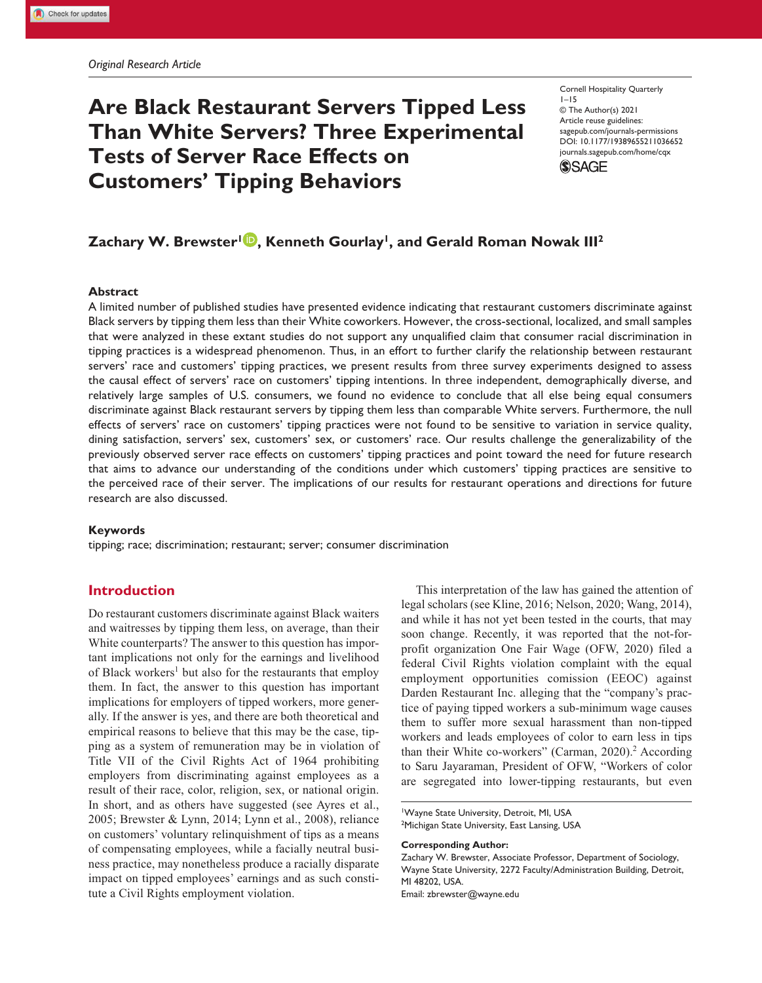# **Are Black Restaurant Servers Tipped Less Than White Servers? Three Experimental Tests of Server Race Effects on Customers' Tipping Behaviors**

Cornell Hospitality Quarterly  $1 - 15$ © The Author(s) 2021 Article reuse guidelines: sagepub.com/journals-permissions https://doi.org/10.1177/19389655211036652 DOI: 10.1177/19389655211036652 journals.sagepub.com/home/cqx **SAGE** 

# $\boldsymbol{\mathsf{Z}}$ achary W. Brewster<sup>1</sup>  $\boldsymbol{\mathsf{D}}$ , Kenneth Gourlay<sup>1</sup>, and Gerald Roman Nowak III<sup>2</sup>

### **Abstract**

A limited number of published studies have presented evidence indicating that restaurant customers discriminate against Black servers by tipping them less than their White coworkers. However, the cross-sectional, localized, and small samples that were analyzed in these extant studies do not support any unqualified claim that consumer racial discrimination in tipping practices is a widespread phenomenon. Thus, in an effort to further clarify the relationship between restaurant servers' race and customers' tipping practices, we present results from three survey experiments designed to assess the causal effect of servers' race on customers' tipping intentions. In three independent, demographically diverse, and relatively large samples of U.S. consumers, we found no evidence to conclude that all else being equal consumers discriminate against Black restaurant servers by tipping them less than comparable White servers. Furthermore, the null effects of servers' race on customers' tipping practices were not found to be sensitive to variation in service quality, dining satisfaction, servers' sex, customers' sex, or customers' race. Our results challenge the generalizability of the previously observed server race effects on customers' tipping practices and point toward the need for future research that aims to advance our understanding of the conditions under which customers' tipping practices are sensitive to the perceived race of their server. The implications of our results for restaurant operations and directions for future research are also discussed.

#### **Keywords**

tipping; race; discrimination; restaurant; server; consumer discrimination

# **Introduction**

Do restaurant customers discriminate against Black waiters and waitresses by tipping them less, on average, than their White counterparts? The answer to this question has important implications not only for the earnings and livelihood of Black workers<sup>1</sup> but also for the restaurants that employ them. In fact, the answer to this question has important implications for employers of tipped workers, more generally. If the answer is yes, and there are both theoretical and empirical reasons to believe that this may be the case, tipping as a system of remuneration may be in violation of Title VII of the Civil Rights Act of 1964 prohibiting employers from discriminating against employees as a result of their race, color, religion, sex, or national origin. In short, and as others have suggested (see Ayres et al., 2005; Brewster & Lynn, 2014; Lynn et al., 2008), reliance on customers' voluntary relinquishment of tips as a means of compensating employees, while a facially neutral business practice, may nonetheless produce a racially disparate impact on tipped employees' earnings and as such constitute a Civil Rights employment violation.

This interpretation of the law has gained the attention of legal scholars (see Kline, 2016; Nelson, 2020; Wang, 2014), and while it has not yet been tested in the courts, that may soon change. Recently, it was reported that the not-forprofit organization One Fair Wage (OFW, 2020) filed a federal Civil Rights violation complaint with the equal employment opportunities comission (EEOC) against Darden Restaurant Inc. alleging that the "company's practice of paying tipped workers a sub-minimum wage causes them to suffer more sexual harassment than non-tipped workers and leads employees of color to earn less in tips than their White co-workers" (Carman, 2020).<sup>2</sup> According to Saru Jayaraman, President of OFW, "Workers of color are segregated into lower-tipping restaurants, but even

#### **Corresponding Author:**

<sup>1</sup>Wayne State University, Detroit, MI, USA <sup>2</sup>Michigan State University, East Lansing, USA

Zachary W. Brewster, Associate Professor, Department of Sociology, Wayne State University, 2272 Faculty/Administration Building, Detroit, MI 48202, USA. Email: zbrewster@wayne.edu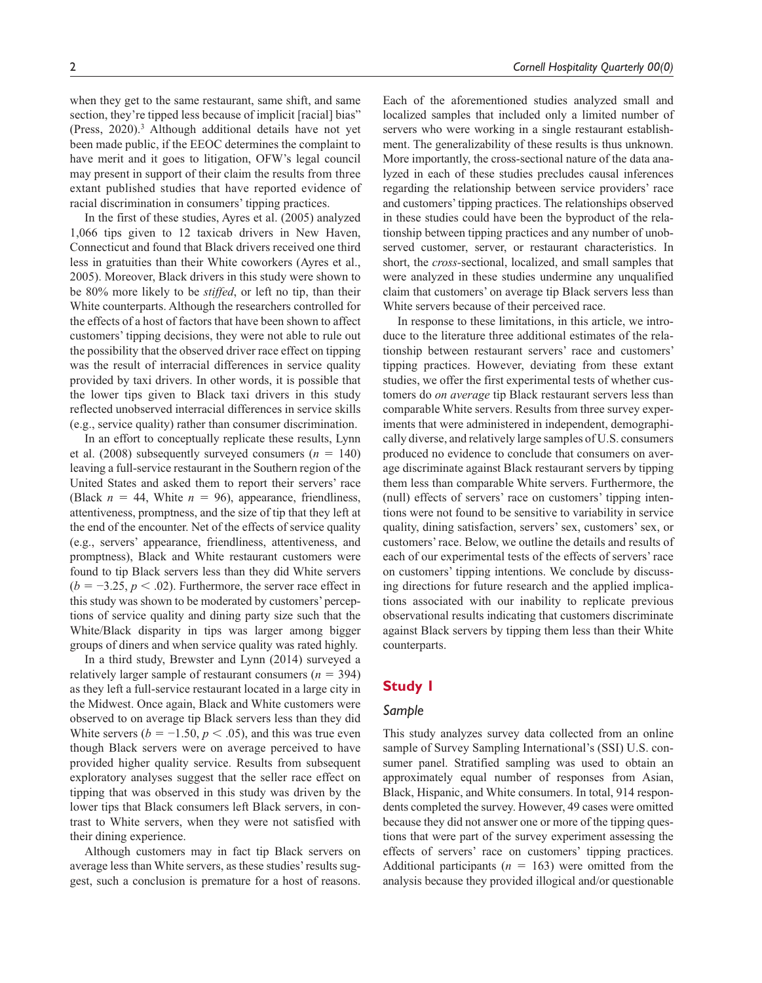when they get to the same restaurant, same shift, and same section, they're tipped less because of implicit [racial] bias" (Press, 2020).<sup>3</sup> Although additional details have not yet been made public, if the EEOC determines the complaint to have merit and it goes to litigation, OFW's legal council may present in support of their claim the results from three extant published studies that have reported evidence of racial discrimination in consumers' tipping practices.

In the first of these studies, Ayres et al. (2005) analyzed 1,066 tips given to 12 taxicab drivers in New Haven, Connecticut and found that Black drivers received one third less in gratuities than their White coworkers (Ayres et al., 2005). Moreover, Black drivers in this study were shown to be 80% more likely to be *stiffed*, or left no tip, than their White counterparts. Although the researchers controlled for the effects of a host of factors that have been shown to affect customers' tipping decisions, they were not able to rule out the possibility that the observed driver race effect on tipping was the result of interracial differences in service quality provided by taxi drivers. In other words, it is possible that the lower tips given to Black taxi drivers in this study reflected unobserved interracial differences in service skills (e.g., service quality) rather than consumer discrimination.

In an effort to conceptually replicate these results, Lynn et al. (2008) subsequently surveyed consumers  $(n = 140)$ leaving a full-service restaurant in the Southern region of the United States and asked them to report their servers' race (Black  $n = 44$ , White  $n = 96$ ), appearance, friendliness, attentiveness, promptness, and the size of tip that they left at the end of the encounter. Net of the effects of service quality (e.g., servers' appearance, friendliness, attentiveness, and promptness), Black and White restaurant customers were found to tip Black servers less than they did White servers  $(b = -3.25, p < .02)$ . Furthermore, the server race effect in this study was shown to be moderated by customers' perceptions of service quality and dining party size such that the White/Black disparity in tips was larger among bigger groups of diners and when service quality was rated highly.

In a third study, Brewster and Lynn (2014) surveyed a relatively larger sample of restaurant consumers  $(n = 394)$ as they left a full-service restaurant located in a large city in the Midwest. Once again, Black and White customers were observed to on average tip Black servers less than they did White servers ( $b = -1.50, p < 0.05$ ), and this was true even though Black servers were on average perceived to have provided higher quality service. Results from subsequent exploratory analyses suggest that the seller race effect on tipping that was observed in this study was driven by the lower tips that Black consumers left Black servers, in contrast to White servers, when they were not satisfied with their dining experience.

Although customers may in fact tip Black servers on average less than White servers, as these studies' results suggest, such a conclusion is premature for a host of reasons.

Each of the aforementioned studies analyzed small and localized samples that included only a limited number of servers who were working in a single restaurant establishment. The generalizability of these results is thus unknown. More importantly, the cross-sectional nature of the data analyzed in each of these studies precludes causal inferences regarding the relationship between service providers' race and customers' tipping practices. The relationships observed in these studies could have been the byproduct of the relationship between tipping practices and any number of unobserved customer, server, or restaurant characteristics. In short, the *cross-*sectional, localized, and small samples that were analyzed in these studies undermine any unqualified claim that customers' on average tip Black servers less than White servers because of their perceived race.

In response to these limitations, in this article, we introduce to the literature three additional estimates of the relationship between restaurant servers' race and customers' tipping practices. However, deviating from these extant studies, we offer the first experimental tests of whether customers do *on average* tip Black restaurant servers less than comparable White servers. Results from three survey experiments that were administered in independent, demographically diverse, and relatively large samples of U.S. consumers produced no evidence to conclude that consumers on average discriminate against Black restaurant servers by tipping them less than comparable White servers. Furthermore, the (null) effects of servers' race on customers' tipping intentions were not found to be sensitive to variability in service quality, dining satisfaction, servers' sex, customers' sex, or customers' race. Below, we outline the details and results of each of our experimental tests of the effects of servers' race on customers' tipping intentions. We conclude by discussing directions for future research and the applied implications associated with our inability to replicate previous observational results indicating that customers discriminate against Black servers by tipping them less than their White counterparts.

# **Study 1**

# *Sample*

This study analyzes survey data collected from an online sample of Survey Sampling International's (SSI) U.S. consumer panel. Stratified sampling was used to obtain an approximately equal number of responses from Asian, Black, Hispanic, and White consumers. In total, 914 respondents completed the survey. However, 49 cases were omitted because they did not answer one or more of the tipping questions that were part of the survey experiment assessing the effects of servers' race on customers' tipping practices. Additional participants  $(n = 163)$  were omitted from the analysis because they provided illogical and/or questionable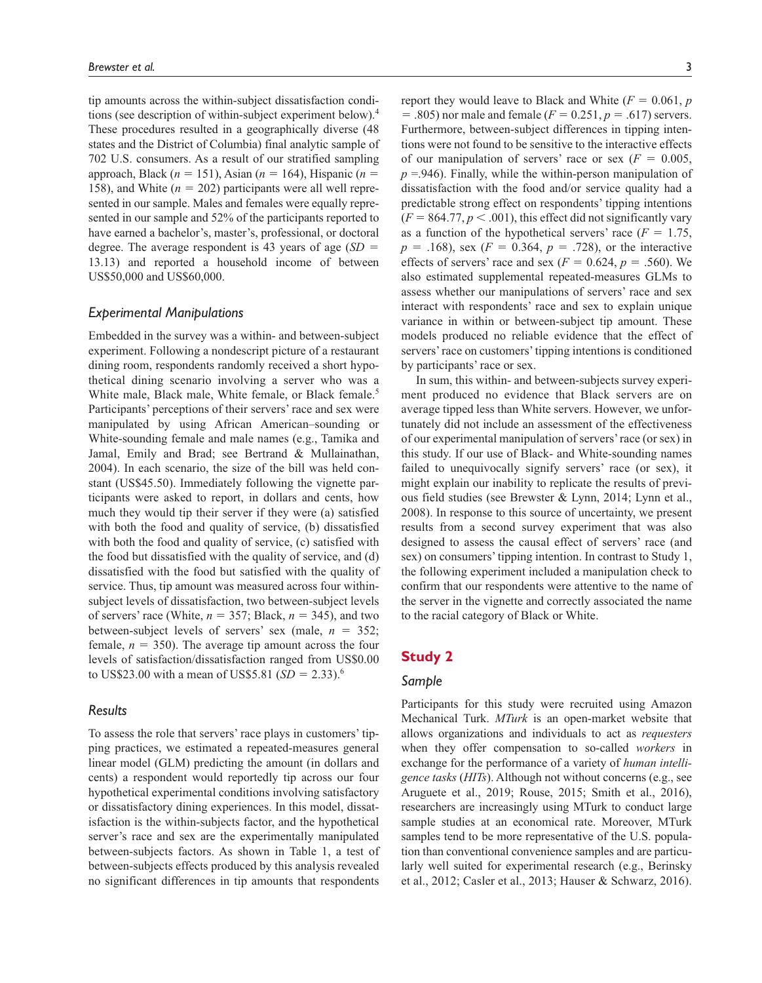tip amounts across the within-subject dissatisfaction conditions (see description of within-subject experiment below).<sup>4</sup> These procedures resulted in a geographically diverse (48 states and the District of Columbia) final analytic sample of 702 U.S. consumers. As a result of our stratified sampling approach, Black (*n* = 151), Asian (*n* = 164), Hispanic (*n* = 158), and White (*n* = 202) participants were all well represented in our sample. Males and females were equally represented in our sample and 52% of the participants reported to have earned a bachelor's, master's, professional, or doctoral degree. The average respondent is 43 years of age (*SD* = 13.13) and reported a household income of between US\$50,000 and US\$60,000.

# *Experimental Manipulations*

Embedded in the survey was a within- and between-subject experiment. Following a nondescript picture of a restaurant dining room, respondents randomly received a short hypothetical dining scenario involving a server who was a White male, Black male, White female, or Black female.<sup>5</sup> Participants' perceptions of their servers' race and sex were manipulated by using African American–sounding or White-sounding female and male names (e.g., Tamika and Jamal, Emily and Brad; see Bertrand & Mullainathan, 2004). In each scenario, the size of the bill was held constant (US\$45.50). Immediately following the vignette participants were asked to report, in dollars and cents, how much they would tip their server if they were (a) satisfied with both the food and quality of service, (b) dissatisfied with both the food and quality of service, (c) satisfied with the food but dissatisfied with the quality of service, and (d) dissatisfied with the food but satisfied with the quality of service. Thus, tip amount was measured across four withinsubject levels of dissatisfaction, two between-subject levels of servers' race (White,  $n = 357$ ; Black,  $n = 345$ ), and two between-subject levels of servers' sex (male,  $n = 352$ ; female,  $n = 350$ ). The average tip amount across the four levels of satisfaction/dissatisfaction ranged from US\$0.00 to US\$23.00 with a mean of US\$5.81  $(SD = 2.33).$ <sup>6</sup>

### *Results*

To assess the role that servers' race plays in customers' tipping practices, we estimated a repeated-measures general linear model (GLM) predicting the amount (in dollars and cents) a respondent would reportedly tip across our four hypothetical experimental conditions involving satisfactory or dissatisfactory dining experiences. In this model, dissatisfaction is the within-subjects factor, and the hypothetical server's race and sex are the experimentally manipulated between-subjects factors. As shown in Table 1, a test of between-subjects effects produced by this analysis revealed no significant differences in tip amounts that respondents

report they would leave to Black and White  $(F = 0.061, p$  $= .805$ ) nor male and female ( $F = 0.251$ ,  $p = .617$ ) servers. Furthermore, between-subject differences in tipping intentions were not found to be sensitive to the interactive effects of our manipulation of servers' race or sex  $(F = 0.005,$  $p = 0.946$ . Finally, while the within-person manipulation of dissatisfaction with the food and/or service quality had a predictable strong effect on respondents' tipping intentions  $(F = 864.77, p < .001)$ , this effect did not significantly vary as a function of the hypothetical servers' race  $(F = 1.75,$  $p = .168$ , sex ( $F = 0.364$ ,  $p = .728$ ), or the interactive effects of servers' race and sex ( $F = 0.624$ ,  $p = .560$ ). We also estimated supplemental repeated-measures GLMs to assess whether our manipulations of servers' race and sex interact with respondents' race and sex to explain unique variance in within or between-subject tip amount. These models produced no reliable evidence that the effect of servers' race on customers' tipping intentions is conditioned by participants' race or sex.

In sum, this within- and between-subjects survey experiment produced no evidence that Black servers are on average tipped less than White servers. However, we unfortunately did not include an assessment of the effectiveness of our experimental manipulation of servers' race (or sex) in this study. If our use of Black- and White-sounding names failed to unequivocally signify servers' race (or sex), it might explain our inability to replicate the results of previous field studies (see Brewster & Lynn, 2014; Lynn et al., 2008). In response to this source of uncertainty, we present results from a second survey experiment that was also designed to assess the causal effect of servers' race (and sex) on consumers' tipping intention. In contrast to Study 1, the following experiment included a manipulation check to confirm that our respondents were attentive to the name of the server in the vignette and correctly associated the name to the racial category of Black or White.

# **Study 2**

### *Sample*

Participants for this study were recruited using Amazon Mechanical Turk. *MTurk* is an open-market website that allows organizations and individuals to act as *requesters* when they offer compensation to so-called *workers* in exchange for the performance of a variety of *human intelligence tasks* (*HITs*). Although not without concerns (e.g., see Aruguete et al., 2019; Rouse, 2015; Smith et al., 2016), researchers are increasingly using MTurk to conduct large sample studies at an economical rate. Moreover, MTurk samples tend to be more representative of the U.S. population than conventional convenience samples and are particularly well suited for experimental research (e.g., Berinsky et al., 2012; Casler et al., 2013; Hauser & Schwarz, 2016).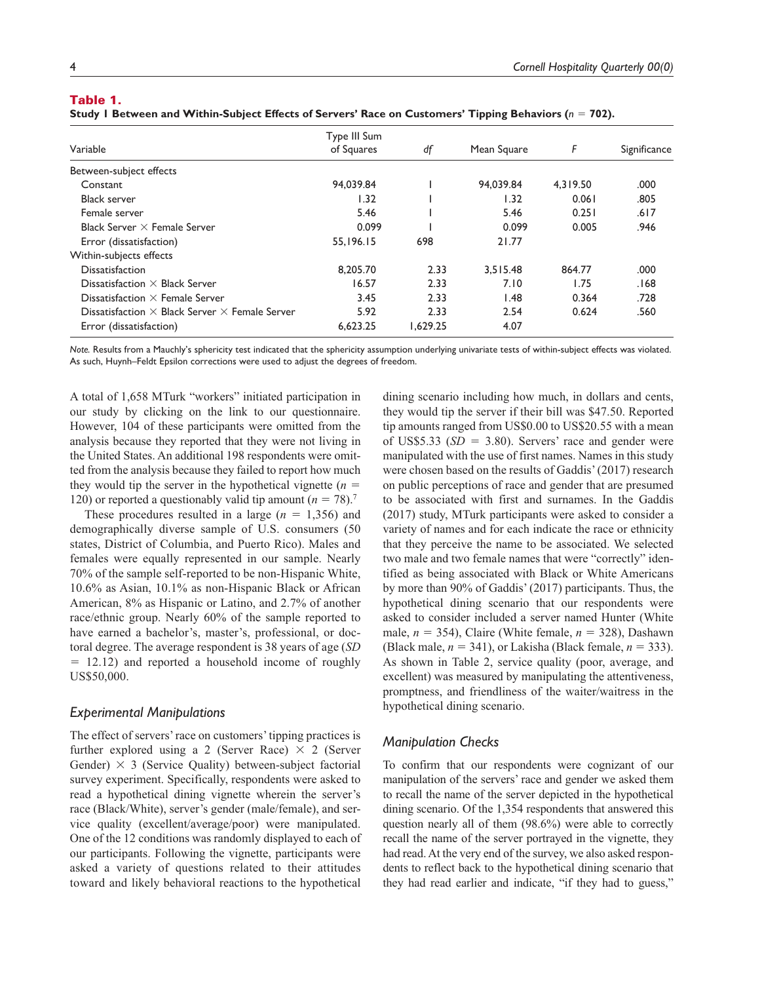# Table 1.

|  |  | Study 1 Between and Within-Subject Effects of Servers' Race on Customers' Tipping Behaviors ( $n = 702$ ). |  |
|--|--|------------------------------------------------------------------------------------------------------------|--|
|  |  |                                                                                                            |  |

|                                                              | Type III Sum |          |             |          |              |
|--------------------------------------------------------------|--------------|----------|-------------|----------|--------------|
| Variable                                                     | of Squares   | df       | Mean Square | F        | Significance |
| Between-subject effects                                      |              |          |             |          |              |
| Constant                                                     | 94.039.84    |          | 94.039.84   | 4.319.50 | .000         |
| <b>Black server</b>                                          | 1.32         |          | 1.32        | 0.061    | .805         |
| Female server                                                | 5.46         |          | 5.46        | 0.251    | .617         |
| Black Server $\times$ Female Server                          | 0.099        |          | 0.099       | 0.005    | .946         |
| Error (dissatisfaction)                                      | 55,196.15    | 698      | 21.77       |          |              |
| Within-subjects effects                                      |              |          |             |          |              |
| <b>Dissatisfaction</b>                                       | 8.205.70     | 2.33     | 3.515.48    | 864.77   | .000         |
| Dissatisfaction $\times$ Black Server                        | 16.57        | 2.33     | 7.10        | 1.75     | .168         |
| Dissatisfaction $\times$ Female Server                       | 3.45         | 2.33     | 1.48        | 0.364    | .728         |
| Dissatisfaction $\times$ Black Server $\times$ Female Server | 5.92         | 2.33     | 2.54        | 0.624    | .560         |
| Error (dissatisfaction)                                      | 6.623.25     | 1.629.25 | 4.07        |          |              |

*Note.* Results from a Mauchly's sphericity test indicated that the sphericity assumption underlying univariate tests of within-subject effects was violated. As such, Huynh–Feldt Epsilon corrections were used to adjust the degrees of freedom.

A total of 1,658 MTurk "workers" initiated participation in our study by clicking on the link to our questionnaire. However, 104 of these participants were omitted from the analysis because they reported that they were not living in the United States. An additional 198 respondents were omitted from the analysis because they failed to report how much they would tip the server in the hypothetical vignette  $(n =$ 120) or reported a questionably valid tip amount  $(n = 78)$ .<sup>7</sup>

These procedures resulted in a large  $(n = 1,356)$  and demographically diverse sample of U.S. consumers (50 states, District of Columbia, and Puerto Rico). Males and females were equally represented in our sample. Nearly 70% of the sample self-reported to be non-Hispanic White, 10.6% as Asian, 10.1% as non-Hispanic Black or African American, 8% as Hispanic or Latino, and 2.7% of another race/ethnic group. Nearly 60% of the sample reported to have earned a bachelor's, master's, professional, or doctoral degree. The average respondent is 38 years of age (*SD*  $= 12.12$ ) and reported a household income of roughly US\$50,000.

### *Experimental Manipulations*

The effect of servers' race on customers' tipping practices is further explored using a 2 (Server Race)  $\times$  2 (Server Gender)  $\times$  3 (Service Quality) between-subject factorial survey experiment. Specifically, respondents were asked to read a hypothetical dining vignette wherein the server's race (Black/White), server's gender (male/female), and service quality (excellent/average/poor) were manipulated. One of the 12 conditions was randomly displayed to each of our participants. Following the vignette, participants were asked a variety of questions related to their attitudes toward and likely behavioral reactions to the hypothetical

dining scenario including how much, in dollars and cents, they would tip the server if their bill was \$47.50. Reported tip amounts ranged from US\$0.00 to US\$20.55 with a mean of US\$5.33  $(SD = 3.80)$ . Servers' race and gender were manipulated with the use of first names. Names in this study were chosen based on the results of Gaddis' (2017) research on public perceptions of race and gender that are presumed to be associated with first and surnames. In the Gaddis (2017) study, MTurk participants were asked to consider a variety of names and for each indicate the race or ethnicity that they perceive the name to be associated. We selected two male and two female names that were "correctly" identified as being associated with Black or White Americans by more than 90% of Gaddis' (2017) participants. Thus, the hypothetical dining scenario that our respondents were asked to consider included a server named Hunter (White male,  $n = 354$ ), Claire (White female,  $n = 328$ ), Dashawn (Black male,  $n = 341$ ), or Lakisha (Black female,  $n = 333$ ). As shown in Table 2, service quality (poor, average, and excellent) was measured by manipulating the attentiveness, promptness, and friendliness of the waiter/waitress in the hypothetical dining scenario.

### *Manipulation Checks*

To confirm that our respondents were cognizant of our manipulation of the servers' race and gender we asked them to recall the name of the server depicted in the hypothetical dining scenario. Of the 1,354 respondents that answered this question nearly all of them (98.6%) were able to correctly recall the name of the server portrayed in the vignette, they had read. At the very end of the survey, we also asked respondents to reflect back to the hypothetical dining scenario that they had read earlier and indicate, "if they had to guess,"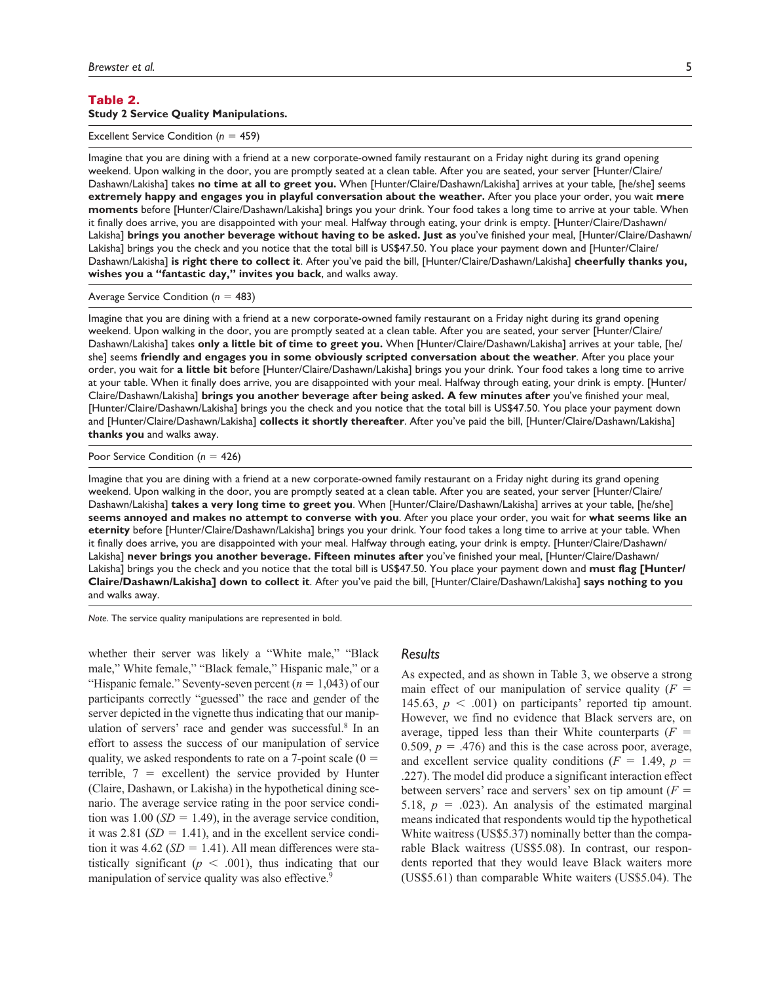### Table 2. **Study 2 Service Quality Manipulations.**

Excellent Service Condition (*n* = 459)

Imagine that you are dining with a friend at a new corporate-owned family restaurant on a Friday night during its grand opening weekend. Upon walking in the door, you are promptly seated at a clean table. After you are seated, your server [Hunter/Claire/ Dashawn/Lakisha] takes **no time at all to greet you.** When [Hunter/Claire/Dashawn/Lakisha] arrives at your table, [he/she] seems **extremely happy and engages you in playful conversation about the weather.** After you place your order, you wait **mere moments** before [Hunter/Claire/Dashawn/Lakisha] brings you your drink. Your food takes a long time to arrive at your table. When it finally does arrive, you are disappointed with your meal. Halfway through eating, your drink is empty. [Hunter/Claire/Dashawn/ Lakisha] **brings you another beverage without having to be asked. Just as** you've finished your meal, [Hunter/Claire/Dashawn/ Lakisha] brings you the check and you notice that the total bill is US\$47.50. You place your payment down and [Hunter/Claire/ Dashawn/Lakisha] **is right there to collect it**. After you've paid the bill, [Hunter/Claire/Dashawn/Lakisha] **cheerfully thanks you, wishes you a "fantastic day," invites you back**, and walks away.

Average Service Condition (*n* = 483)

Imagine that you are dining with a friend at a new corporate-owned family restaurant on a Friday night during its grand opening weekend. Upon walking in the door, you are promptly seated at a clean table. After you are seated, your server [Hunter/Claire/ Dashawn/Lakisha] takes **only a little bit of time to greet you.** When [Hunter/Claire/Dashawn/Lakisha] arrives at your table, [he/ she] seems **friendly and engages you in some obviously scripted conversation about the weather**. After you place your order, you wait for **a little bit** before [Hunter/Claire/Dashawn/Lakisha] brings you your drink. Your food takes a long time to arrive at your table. When it finally does arrive, you are disappointed with your meal. Halfway through eating, your drink is empty. [Hunter/ Claire/Dashawn/Lakisha] **brings you another beverage after being asked. A few minutes after** you've finished your meal, [Hunter/Claire/Dashawn/Lakisha] brings you the check and you notice that the total bill is US\$47.50. You place your payment down and [Hunter/Claire/Dashawn/Lakisha] **collects it shortly thereafter**. After you've paid the bill, [Hunter/Claire/Dashawn/Lakisha] **thanks you** and walks away.

#### Poor Service Condition (*n* = 426)

Imagine that you are dining with a friend at a new corporate-owned family restaurant on a Friday night during its grand opening weekend. Upon walking in the door, you are promptly seated at a clean table. After you are seated, your server [Hunter/Claire/ Dashawn/Lakisha] **takes a very long time to greet you**. When [Hunter/Claire/Dashawn/Lakisha] arrives at your table, [he/she] **seems annoyed and makes no attempt to converse with you**. After you place your order, you wait for **what seems like an eternity** before [Hunter/Claire/Dashawn/Lakisha] brings you your drink. Your food takes a long time to arrive at your table. When it finally does arrive, you are disappointed with your meal. Halfway through eating, your drink is empty. [Hunter/Claire/Dashawn/ Lakisha] **never brings you another beverage. Fifteen minutes after** you've finished your meal, [Hunter/Claire/Dashawn/ Lakisha] brings you the check and you notice that the total bill is US\$47.50. You place your payment down and **must flag [Hunter/ Claire/Dashawn/Lakisha] down to collect it**. After you've paid the bill, [Hunter/Claire/Dashawn/Lakisha] **says nothing to you** and walks away.

*Note.* The service quality manipulations are represented in bold.

whether their server was likely a "White male," "Black male," White female," "Black female," Hispanic male," or a "Hispanic female." Seventy-seven percent  $(n = 1,043)$  of our participants correctly "guessed" the race and gender of the server depicted in the vignette thus indicating that our manipulation of servers' race and gender was successful.<sup>8</sup> In an effort to assess the success of our manipulation of service quality, we asked respondents to rate on a 7-point scale  $(0 =$ terrible,  $7$  = excellent) the service provided by Hunter (Claire, Dashawn, or Lakisha) in the hypothetical dining scenario. The average service rating in the poor service condition was  $1.00$  (*SD* = 1.49), in the average service condition, it was 2.81 ( $SD = 1.41$ ), and in the excellent service condition it was  $4.62$  (*SD* = 1.41). All mean differences were statistically significant  $(p < .001)$ , thus indicating that our manipulation of service quality was also effective.<sup>9</sup>

# *Results*

As expected, and as shown in Table 3, we observe a strong main effect of our manipulation of service quality  $(F =$ 145.63,  $p < .001$ ) on participants' reported tip amount. However, we find no evidence that Black servers are, on average, tipped less than their White counterparts  $(F =$ 0.509,  $p = .476$ ) and this is the case across poor, average, and excellent service quality conditions  $(F = 1.49, p = 1.49)$ .227). The model did produce a significant interaction effect between servers' race and servers' sex on tip amount  $(F =$ 5.18,  $p = .023$ ). An analysis of the estimated marginal means indicated that respondents would tip the hypothetical White waitress (US\$5.37) nominally better than the comparable Black waitress (US\$5.08). In contrast, our respondents reported that they would leave Black waiters more (US\$5.61) than comparable White waiters (US\$5.04). The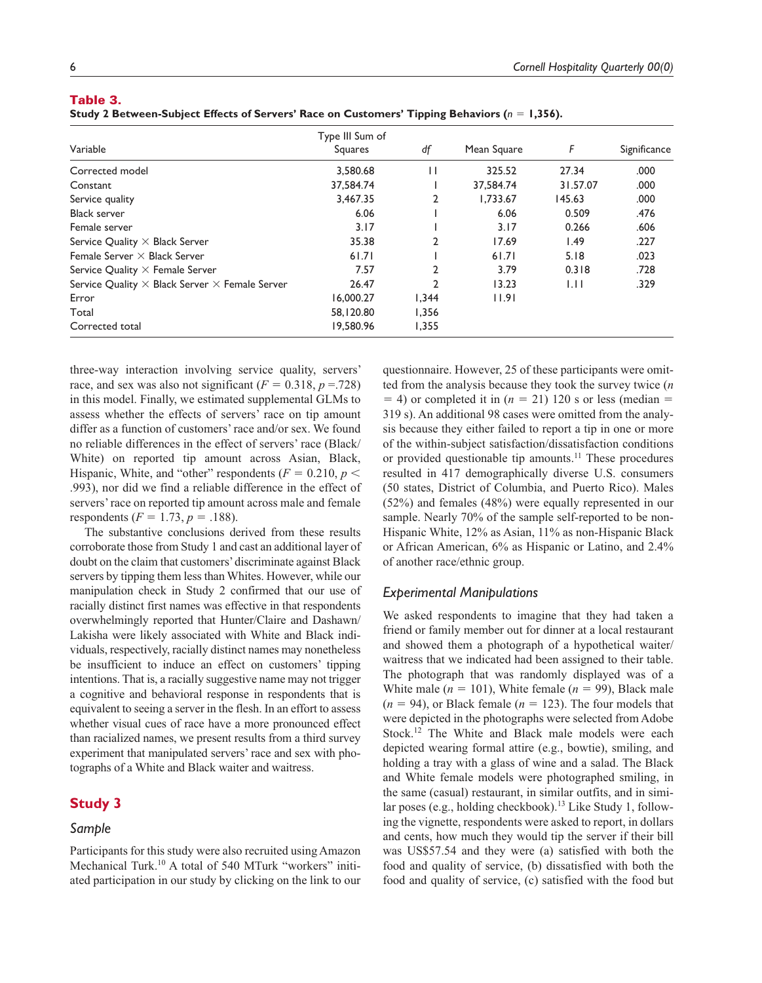# Table 3.

|  |  | Study 2 Between-Subject Effects of Servers' Race on Customers' Tipping Behaviors ( $n = 1,356$ ). |  |
|--|--|---------------------------------------------------------------------------------------------------|--|
|  |  |                                                                                                   |  |

| Variable                                                     | Type III Sum of<br>Squares | df             | Mean Square | F        | Significance |
|--------------------------------------------------------------|----------------------------|----------------|-------------|----------|--------------|
|                                                              |                            |                |             |          |              |
| Corrected model                                              | 3,580.68                   | П              | 325.52      | 27.34    | .000         |
| Constant                                                     | 37,584.74                  |                | 37,584.74   | 31.57.07 | .000         |
| Service quality                                              | 3,467.35                   | 2              | 1.733.67    | 145.63   | .000         |
| <b>Black server</b>                                          | 6.06                       |                | 6.06        | 0.509    | .476         |
| Female server                                                | 3.17                       |                | 3.17        | 0.266    | .606         |
| Service Quality $\times$ Black Server                        | 35.38                      | $\mathfrak{p}$ | 17.69       | 1.49     | .227         |
| Female Server $\times$ Black Server                          | 61.71                      |                | 61.71       | 5.18     | .023         |
| Service Quality $\times$ Female Server                       | 7.57                       | 2              | 3.79        | 0.318    | .728         |
| Service Quality $\times$ Black Server $\times$ Female Server | 26.47                      |                | 13.23       | 1.11     | .329         |
| Error                                                        | 16,000.27                  | 1,344          | 11.91       |          |              |
| Total                                                        | 58,120.80                  | 1,356          |             |          |              |
| Corrected total                                              | 19.580.96                  | 1,355          |             |          |              |

three-way interaction involving service quality, servers' race, and sex was also not significant  $(F = 0.318, p = .728)$ in this model. Finally, we estimated supplemental GLMs to assess whether the effects of servers' race on tip amount differ as a function of customers' race and/or sex. We found no reliable differences in the effect of servers' race (Black/ White) on reported tip amount across Asian, Black, Hispanic, White, and "other" respondents ( $F = 0.210$ ,  $p <$ .993), nor did we find a reliable difference in the effect of servers' race on reported tip amount across male and female respondents ( $F = 1.73$ ,  $p = .188$ ).

The substantive conclusions derived from these results corroborate those from Study 1 and cast an additional layer of doubt on the claim that customers' discriminate against Black servers by tipping them less than Whites. However, while our manipulation check in Study 2 confirmed that our use of racially distinct first names was effective in that respondents overwhelmingly reported that Hunter/Claire and Dashawn/ Lakisha were likely associated with White and Black individuals, respectively, racially distinct names may nonetheless be insufficient to induce an effect on customers' tipping intentions. That is, a racially suggestive name may not trigger a cognitive and behavioral response in respondents that is equivalent to seeing a server in the flesh. In an effort to assess whether visual cues of race have a more pronounced effect than racialized names, we present results from a third survey experiment that manipulated servers' race and sex with photographs of a White and Black waiter and waitress.

# **Study 3**

# *Sample*

Participants for this study were also recruited using Amazon Mechanical Turk.<sup>10</sup> A total of 540 MTurk "workers" initiated participation in our study by clicking on the link to our

questionnaire. However, 25 of these participants were omitted from the analysis because they took the survey twice (*n*  $=$  4) or completed it in ( $n = 21$ ) 120 s or less (median  $=$ 319 s). An additional 98 cases were omitted from the analysis because they either failed to report a tip in one or more of the within-subject satisfaction/dissatisfaction conditions or provided questionable tip amounts.<sup>11</sup> These procedures resulted in 417 demographically diverse U.S. consumers (50 states, District of Columbia, and Puerto Rico). Males (52%) and females (48%) were equally represented in our sample. Nearly 70% of the sample self-reported to be non-Hispanic White, 12% as Asian, 11% as non-Hispanic Black or African American, 6% as Hispanic or Latino, and 2.4% of another race/ethnic group.

### *Experimental Manipulations*

We asked respondents to imagine that they had taken a friend or family member out for dinner at a local restaurant and showed them a photograph of a hypothetical waiter/ waitress that we indicated had been assigned to their table. The photograph that was randomly displayed was of a White male  $(n = 101)$ , White female  $(n = 99)$ , Black male  $(n = 94)$ , or Black female  $(n = 123)$ . The four models that were depicted in the photographs were selected from Adobe Stock.<sup>12</sup> The White and Black male models were each depicted wearing formal attire (e.g., bowtie), smiling, and holding a tray with a glass of wine and a salad. The Black and White female models were photographed smiling, in the same (casual) restaurant, in similar outfits, and in similar poses (e.g., holding checkbook).<sup>13</sup> Like Study 1, following the vignette, respondents were asked to report, in dollars and cents, how much they would tip the server if their bill was US\$57.54 and they were (a) satisfied with both the food and quality of service, (b) dissatisfied with both the food and quality of service, (c) satisfied with the food but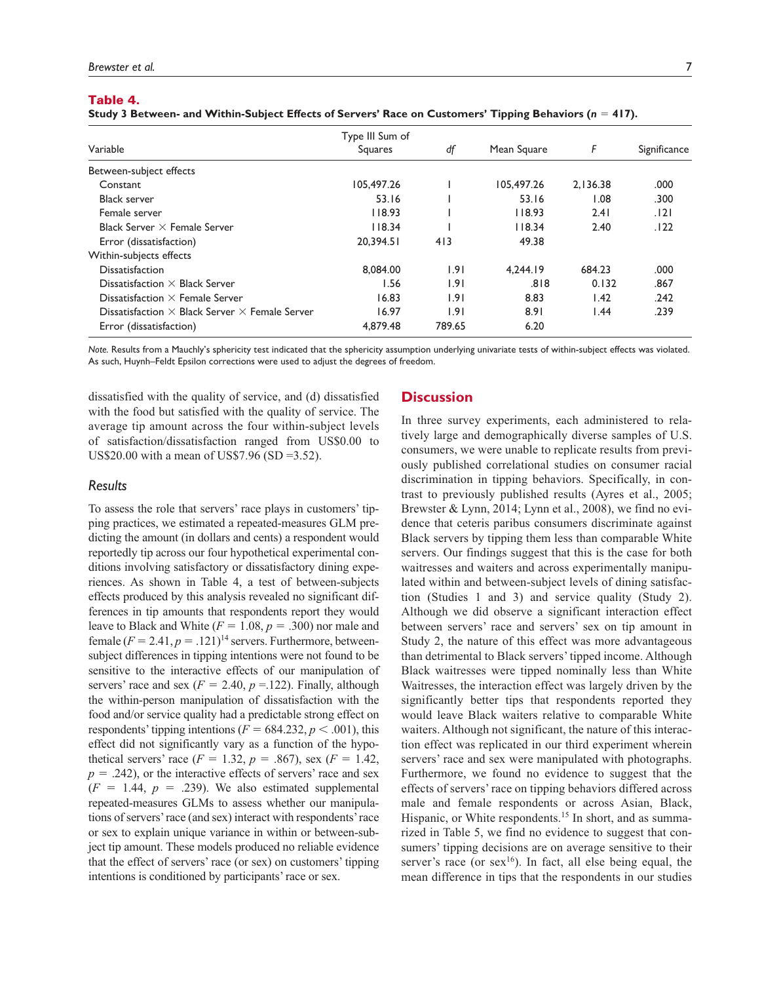### Table 4.

|                                                              | Type III Sum of |        |             |          |              |
|--------------------------------------------------------------|-----------------|--------|-------------|----------|--------------|
| Variable                                                     | Squares         | df     | Mean Square | F        | Significance |
| Between-subject effects                                      |                 |        |             |          |              |
| Constant                                                     | 105,497.26      |        | 105,497.26  | 2.136.38 | .000         |
| <b>Black server</b>                                          | 53.16           |        | 53.16       | 0.08     | .300         |
| Female server                                                | 118.93          |        | 118.93      | 2.41     | .121         |
| Black Server $\times$ Female Server                          | 118.34          |        | 118.34      | 2.40     | .122         |
| Error (dissatisfaction)                                      | 20.394.51       | 413    | 49.38       |          |              |
| Within-subjects effects                                      |                 |        |             |          |              |
| <b>Dissatisfaction</b>                                       | 8,084.00        | 1.91   | 4.244.19    | 684.23   | .000         |
| Dissatisfaction $\times$ Black Server                        | 1.56            | 1.91   | .818        | 0.132    | .867         |
| Dissatisfaction $\times$ Female Server                       | 16.83           | 1.91   | 8.83        | 1.42     | .242         |
| Dissatisfaction $\times$ Black Server $\times$ Female Server | 16.97           | 1.91   | 8.91        | 1.44     | .239         |
| Error (dissatisfaction)                                      | 4.879.48        | 789.65 | 6.20        |          |              |

*Note.* Results from a Mauchly's sphericity test indicated that the sphericity assumption underlying univariate tests of within-subject effects was violated. As such, Huynh–Feldt Epsilon corrections were used to adjust the degrees of freedom.

dissatisfied with the quality of service, and (d) dissatisfied with the food but satisfied with the quality of service. The average tip amount across the four within-subject levels of satisfaction/dissatisfaction ranged from US\$0.00 to US\$20.00 with a mean of US\$7.96 (SD =3.52).

# *Results*

To assess the role that servers' race plays in customers' tipping practices, we estimated a repeated-measures GLM predicting the amount (in dollars and cents) a respondent would reportedly tip across our four hypothetical experimental conditions involving satisfactory or dissatisfactory dining experiences. As shown in Table 4, a test of between-subjects effects produced by this analysis revealed no significant differences in tip amounts that respondents report they would leave to Black and White  $(F = 1.08, p = .300)$  nor male and female  $(F = 2.41, p = .121)^{14}$  servers. Furthermore, betweensubject differences in tipping intentions were not found to be sensitive to the interactive effects of our manipulation of servers' race and sex  $(F = 2.40, p = 122)$ . Finally, although the within-person manipulation of dissatisfaction with the food and/or service quality had a predictable strong effect on respondents' tipping intentions ( $F = 684.232$ ,  $p < .001$ ), this effect did not significantly vary as a function of the hypothetical servers' race ( $F = 1.32$ ,  $p = .867$ ), sex ( $F = 1.42$ ,  $p = .242$ , or the interactive effects of servers' race and sex  $(F = 1.44, p = .239)$ . We also estimated supplemental repeated-measures GLMs to assess whether our manipulations of servers' race (and sex) interact with respondents' race or sex to explain unique variance in within or between-subject tip amount. These models produced no reliable evidence that the effect of servers' race (or sex) on customers' tipping intentions is conditioned by participants' race or sex.

# **Discussion**

In three survey experiments, each administered to relatively large and demographically diverse samples of U.S. consumers, we were unable to replicate results from previously published correlational studies on consumer racial discrimination in tipping behaviors. Specifically, in contrast to previously published results (Ayres et al., 2005; Brewster & Lynn, 2014; Lynn et al., 2008), we find no evidence that ceteris paribus consumers discriminate against Black servers by tipping them less than comparable White servers. Our findings suggest that this is the case for both waitresses and waiters and across experimentally manipulated within and between-subject levels of dining satisfaction (Studies 1 and 3) and service quality (Study 2). Although we did observe a significant interaction effect between servers' race and servers' sex on tip amount in Study 2, the nature of this effect was more advantageous than detrimental to Black servers' tipped income. Although Black waitresses were tipped nominally less than White Waitresses, the interaction effect was largely driven by the significantly better tips that respondents reported they would leave Black waiters relative to comparable White waiters. Although not significant, the nature of this interaction effect was replicated in our third experiment wherein servers' race and sex were manipulated with photographs. Furthermore, we found no evidence to suggest that the effects of servers' race on tipping behaviors differed across male and female respondents or across Asian, Black, Hispanic, or White respondents.<sup>15</sup> In short, and as summarized in Table 5, we find no evidence to suggest that consumers' tipping decisions are on average sensitive to their server's race (or  $sex^{16}$ ). In fact, all else being equal, the mean difference in tips that the respondents in our studies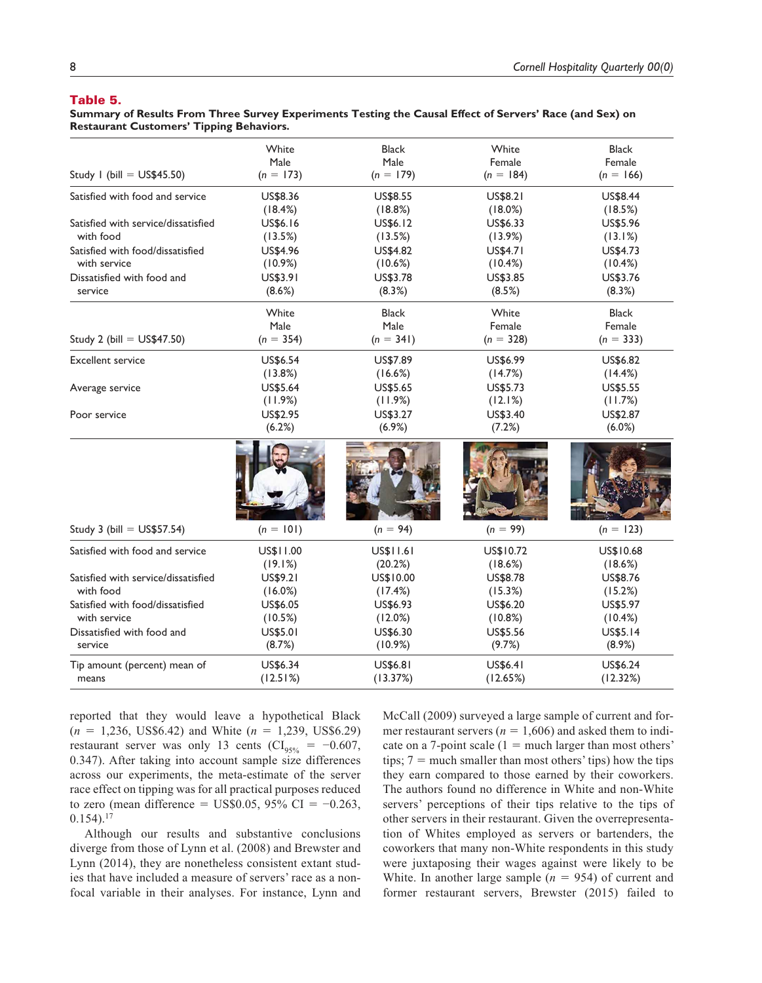### Table 5.

**Summary of Results From Three Survey Experiments Testing the Causal Effect of Servers' Race (and Sex) on Restaurant Customers' Tipping Behaviors.**

|                                     | White<br>Male | <b>Black</b>        | White                 | <b>Black</b>          |
|-------------------------------------|---------------|---------------------|-----------------------|-----------------------|
| Study I (bill = $US$45.50$ )        | $(n = 173)$   | Male<br>$(n = 179)$ | Female<br>$(n = 184)$ | Female<br>$(n = 166)$ |
| Satisfied with food and service     | US\$8.36      | <b>US\$8.55</b>     | US\$8.21              | US\$8.44              |
|                                     | (18.4%)       | (18.8%)             | (18.0%)               | (18.5%)               |
| Satisfied with service/dissatisfied | US\$6.16      | US\$6.12            | US\$6.33              | US\$5.96              |
| with food                           | (13.5%)       | (13.5%)             | (13.9%)               | (13.1%)               |
| Satisfied with food/dissatisfied    | US\$4.96      | US\$4.82            | US\$4.71              | US\$4.73              |
| with service                        | (10.9%)       | (10.6%)             | (10.4%)               | (10.4%)               |
| Dissatisfied with food and          | US\$3.91      | US\$3.78            | US\$3.85              | US\$3.76              |
| service                             | (8.6%)        | (8.3%)              | (8.5%)                | (8.3%)                |
|                                     | White         | <b>Black</b>        | White                 | <b>Black</b>          |
|                                     | Male          | Male                | Female                | Female                |
| Study 2 (bill = $US$47.50$ )        | $(n = 354)$   | $(n = 341)$         | $(n = 328)$           | $(n = 333)$           |
| <b>Excellent service</b>            | US\$6.54      | US\$7.89            | US\$6.99              | US\$6.82              |
|                                     | (13.8%)       | (16.6%)             | (14.7%)               | (14.4%)               |
| Average service                     | US\$5.64      | US\$5.65            | US\$5.73              | US\$5.55              |
|                                     | (11.9%)       | (11.9%)             | (12.1%)               | (11.7%)               |
| Poor service                        | US\$2.95      | US\$3.27            | US\$3.40              | US\$2.87              |
|                                     | (6.2%)        | (6.9%)              | (7.2%)                | (6.0%)                |
|                                     |               |                     |                       |                       |
| Study 3 (bill = $US$57.54$ )        | $(n = 101)$   | $(n = 94)$          | $(n = 99)$            | $(n = 123)$           |
| Satisfied with food and service     | US\$11.00     | US\$11.61           | US\$10.72             | US\$10.68             |
|                                     | (19.1%)       | (20.2%)             | (18.6%)               | (18.6%)               |
| Satisfied with service/dissatisfied | US\$9.21      | US\$10.00           | US\$8.78              | US\$8.76              |
| with food                           | (16.0%)       | (17.4%)             | (15.3%)               | (15.2%)               |
| Satisfied with food/dissatisfied    | US\$6.05      | US\$6.93            | US\$6.20              | US\$5.97              |
| with service                        | (10.5%)       | (12.0%)             | (10.8%)               | (10.4%)               |
| Dissatisfied with food and          | US\$5.01      | US\$6.30            | US\$5.56              | US\$5.14              |
| service                             | (8.7%)        | (10.9%)             | (9.7%)                | (8.9%)                |
| Tip amount (percent) mean of        | US\$6.34      | US\$6.81            | US\$6.41              | US\$6.24              |
| means                               | (12.51%)      | (13.37%)            | (12.65%)              | (12.32%)              |

reported that they would leave a hypothetical Black (*n* = 1,236, US\$6.42) and White (*n* = 1,239, US\$6.29) restaurant server was only 13 cents ( $CI<sub>95%</sub> = -0.607$ , 0.347). After taking into account sample size differences across our experiments, the meta-estimate of the server race effect on tipping was for all practical purposes reduced to zero (mean difference = US\$0.05, 95% CI =  $-0.263$ ,  $0.154$ ).<sup>17</sup>

Although our results and substantive conclusions diverge from those of Lynn et al. (2008) and Brewster and Lynn (2014), they are nonetheless consistent extant studies that have included a measure of servers' race as a nonfocal variable in their analyses. For instance, Lynn and

McCall (2009) surveyed a large sample of current and former restaurant servers ( $n = 1,606$ ) and asked them to indicate on a 7-point scale  $(1 = \text{much larger than most others})$ tips;  $7 =$  much smaller than most others' tips) how the tips they earn compared to those earned by their coworkers. The authors found no difference in White and non-White servers' perceptions of their tips relative to the tips of other servers in their restaurant. Given the overrepresentation of Whites employed as servers or bartenders, the coworkers that many non-White respondents in this study were juxtaposing their wages against were likely to be White. In another large sample  $(n = 954)$  of current and former restaurant servers, Brewster (2015) failed to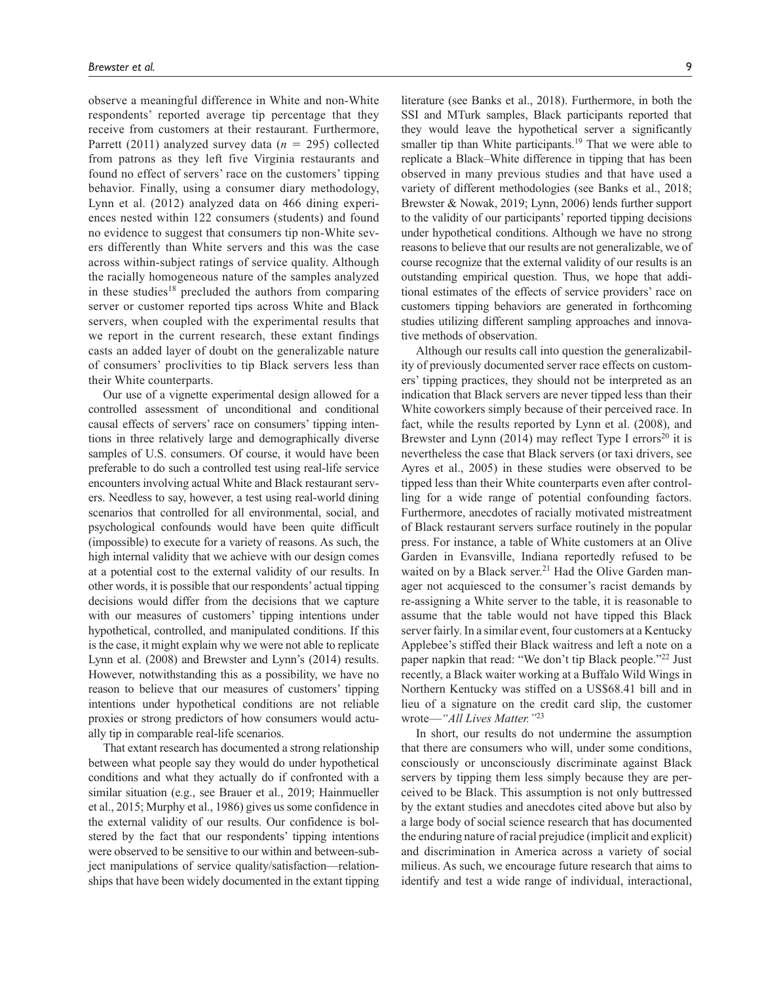observe a meaningful difference in White and non-White respondents' reported average tip percentage that they receive from customers at their restaurant. Furthermore, Parrett (2011) analyzed survey data (*n* = 295) collected from patrons as they left five Virginia restaurants and found no effect of servers' race on the customers' tipping behavior. Finally, using a consumer diary methodology, Lynn et al. (2012) analyzed data on 466 dining experiences nested within 122 consumers (students) and found no evidence to suggest that consumers tip non-White severs differently than White servers and this was the case across within-subject ratings of service quality. Although the racially homogeneous nature of the samples analyzed in these studies<sup>18</sup> precluded the authors from comparing server or customer reported tips across White and Black servers, when coupled with the experimental results that we report in the current research, these extant findings casts an added layer of doubt on the generalizable nature of consumers' proclivities to tip Black servers less than their White counterparts.

Our use of a vignette experimental design allowed for a controlled assessment of unconditional and conditional causal effects of servers' race on consumers' tipping intentions in three relatively large and demographically diverse samples of U.S. consumers. Of course, it would have been preferable to do such a controlled test using real-life service encounters involving actual White and Black restaurant servers. Needless to say, however, a test using real-world dining scenarios that controlled for all environmental, social, and psychological confounds would have been quite difficult (impossible) to execute for a variety of reasons. As such, the high internal validity that we achieve with our design comes at a potential cost to the external validity of our results. In other words, it is possible that our respondents' actual tipping decisions would differ from the decisions that we capture with our measures of customers' tipping intentions under hypothetical, controlled, and manipulated conditions. If this is the case, it might explain why we were not able to replicate Lynn et al. (2008) and Brewster and Lynn's (2014) results. However, notwithstanding this as a possibility, we have no reason to believe that our measures of customers' tipping intentions under hypothetical conditions are not reliable proxies or strong predictors of how consumers would actually tip in comparable real-life scenarios.

That extant research has documented a strong relationship between what people say they would do under hypothetical conditions and what they actually do if confronted with a similar situation (e.g., see Brauer et al., 2019; Hainmueller et al., 2015; Murphy et al., 1986) gives us some confidence in the external validity of our results. Our confidence is bolstered by the fact that our respondents' tipping intentions were observed to be sensitive to our within and between-subject manipulations of service quality/satisfaction—relationships that have been widely documented in the extant tipping

literature (see Banks et al., 2018). Furthermore, in both the SSI and MTurk samples, Black participants reported that they would leave the hypothetical server a significantly smaller tip than White participants.<sup>19</sup> That we were able to replicate a Black–White difference in tipping that has been observed in many previous studies and that have used a variety of different methodologies (see Banks et al., 2018; Brewster & Nowak, 2019; Lynn, 2006) lends further support to the validity of our participants' reported tipping decisions under hypothetical conditions. Although we have no strong reasons to believe that our results are not generalizable, we of course recognize that the external validity of our results is an outstanding empirical question. Thus, we hope that additional estimates of the effects of service providers' race on customers tipping behaviors are generated in forthcoming studies utilizing different sampling approaches and innovative methods of observation.

Although our results call into question the generalizability of previously documented server race effects on customers' tipping practices, they should not be interpreted as an indication that Black servers are never tipped less than their White coworkers simply because of their perceived race. In fact, while the results reported by Lynn et al. (2008), and Brewster and Lynn  $(2014)$  may reflect Type I errors<sup>20</sup> it is nevertheless the case that Black servers (or taxi drivers, see Ayres et al., 2005) in these studies were observed to be tipped less than their White counterparts even after controlling for a wide range of potential confounding factors. Furthermore, anecdotes of racially motivated mistreatment of Black restaurant servers surface routinely in the popular press. For instance, a table of White customers at an Olive Garden in Evansville, Indiana reportedly refused to be waited on by a Black server.<sup>21</sup> Had the Olive Garden manager not acquiesced to the consumer's racist demands by re-assigning a White server to the table, it is reasonable to assume that the table would not have tipped this Black server fairly. In a similar event, four customers at a Kentucky Applebee's stiffed their Black waitress and left a note on a paper napkin that read: "We don't tip Black people."<sup>22</sup> Just recently, a Black waiter working at a Buffalo Wild Wings in Northern Kentucky was stiffed on a US\$68.41 bill and in lieu of a signature on the credit card slip, the customer wrote—*"All Lives Matter."*<sup>23</sup>

In short, our results do not undermine the assumption that there are consumers who will, under some conditions, consciously or unconsciously discriminate against Black servers by tipping them less simply because they are perceived to be Black. This assumption is not only buttressed by the extant studies and anecdotes cited above but also by a large body of social science research that has documented the enduring nature of racial prejudice (implicit and explicit) and discrimination in America across a variety of social milieus. As such, we encourage future research that aims to identify and test a wide range of individual, interactional,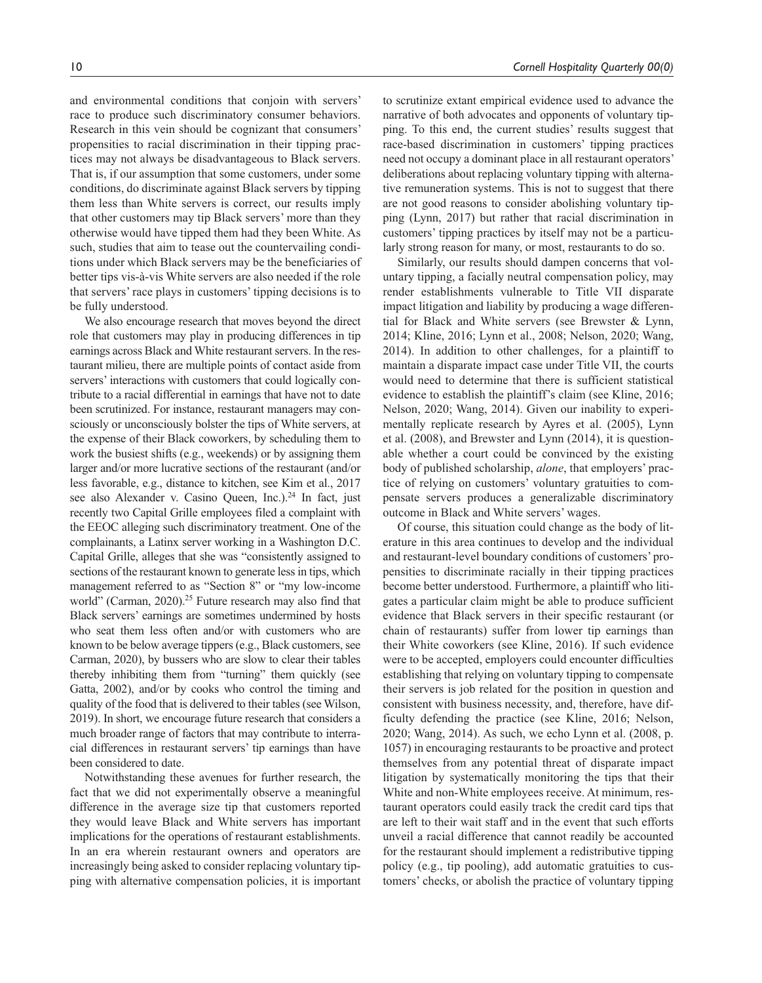and environmental conditions that conjoin with servers' race to produce such discriminatory consumer behaviors. Research in this vein should be cognizant that consumers' propensities to racial discrimination in their tipping practices may not always be disadvantageous to Black servers. That is, if our assumption that some customers, under some conditions, do discriminate against Black servers by tipping them less than White servers is correct, our results imply that other customers may tip Black servers' more than they otherwise would have tipped them had they been White. As such, studies that aim to tease out the countervailing conditions under which Black servers may be the beneficiaries of better tips vis-à-vis White servers are also needed if the role that servers' race plays in customers' tipping decisions is to be fully understood.

We also encourage research that moves beyond the direct role that customers may play in producing differences in tip earnings across Black and White restaurant servers. In the restaurant milieu, there are multiple points of contact aside from servers' interactions with customers that could logically contribute to a racial differential in earnings that have not to date been scrutinized. For instance, restaurant managers may consciously or unconsciously bolster the tips of White servers, at the expense of their Black coworkers, by scheduling them to work the busiest shifts (e.g., weekends) or by assigning them larger and/or more lucrative sections of the restaurant (and/or less favorable, e.g., distance to kitchen, see Kim et al., 2017 see also Alexander v. Casino Queen, Inc.).<sup>24</sup> In fact, just recently two Capital Grille employees filed a complaint with the EEOC alleging such discriminatory treatment. One of the complainants, a Latinx server working in a Washington D.C. Capital Grille, alleges that she was "consistently assigned to sections of the restaurant known to generate less in tips, which management referred to as "Section 8" or "my low-income world" (Carman, 2020).<sup>25</sup> Future research may also find that Black servers' earnings are sometimes undermined by hosts who seat them less often and/or with customers who are known to be below average tippers (e.g., Black customers, see Carman, 2020), by bussers who are slow to clear their tables thereby inhibiting them from "turning" them quickly (see Gatta, 2002), and/or by cooks who control the timing and quality of the food that is delivered to their tables (see Wilson, 2019). In short, we encourage future research that considers a much broader range of factors that may contribute to interracial differences in restaurant servers' tip earnings than have been considered to date.

Notwithstanding these avenues for further research, the fact that we did not experimentally observe a meaningful difference in the average size tip that customers reported they would leave Black and White servers has important implications for the operations of restaurant establishments. In an era wherein restaurant owners and operators are increasingly being asked to consider replacing voluntary tipping with alternative compensation policies, it is important

to scrutinize extant empirical evidence used to advance the narrative of both advocates and opponents of voluntary tipping. To this end, the current studies' results suggest that race-based discrimination in customers' tipping practices need not occupy a dominant place in all restaurant operators' deliberations about replacing voluntary tipping with alternative remuneration systems. This is not to suggest that there are not good reasons to consider abolishing voluntary tipping (Lynn, 2017) but rather that racial discrimination in customers' tipping practices by itself may not be a particularly strong reason for many, or most, restaurants to do so.

Similarly, our results should dampen concerns that voluntary tipping, a facially neutral compensation policy, may render establishments vulnerable to Title VII disparate impact litigation and liability by producing a wage differential for Black and White servers (see Brewster & Lynn, 2014; Kline, 2016; Lynn et al., 2008; Nelson, 2020; Wang, 2014). In addition to other challenges, for a plaintiff to maintain a disparate impact case under Title VII, the courts would need to determine that there is sufficient statistical evidence to establish the plaintiff's claim (see Kline, 2016; Nelson, 2020; Wang, 2014). Given our inability to experimentally replicate research by Ayres et al. (2005), Lynn et al. (2008), and Brewster and Lynn (2014), it is questionable whether a court could be convinced by the existing body of published scholarship, *alone*, that employers' practice of relying on customers' voluntary gratuities to compensate servers produces a generalizable discriminatory outcome in Black and White servers' wages.

Of course, this situation could change as the body of literature in this area continues to develop and the individual and restaurant-level boundary conditions of customers' propensities to discriminate racially in their tipping practices become better understood. Furthermore, a plaintiff who litigates a particular claim might be able to produce sufficient evidence that Black servers in their specific restaurant (or chain of restaurants) suffer from lower tip earnings than their White coworkers (see Kline, 2016). If such evidence were to be accepted, employers could encounter difficulties establishing that relying on voluntary tipping to compensate their servers is job related for the position in question and consistent with business necessity, and, therefore, have difficulty defending the practice (see Kline, 2016; Nelson, 2020; Wang, 2014). As such, we echo Lynn et al. (2008, p. 1057) in encouraging restaurants to be proactive and protect themselves from any potential threat of disparate impact litigation by systematically monitoring the tips that their White and non-White employees receive. At minimum, restaurant operators could easily track the credit card tips that are left to their wait staff and in the event that such efforts unveil a racial difference that cannot readily be accounted for the restaurant should implement a redistributive tipping policy (e.g., tip pooling), add automatic gratuities to customers' checks, or abolish the practice of voluntary tipping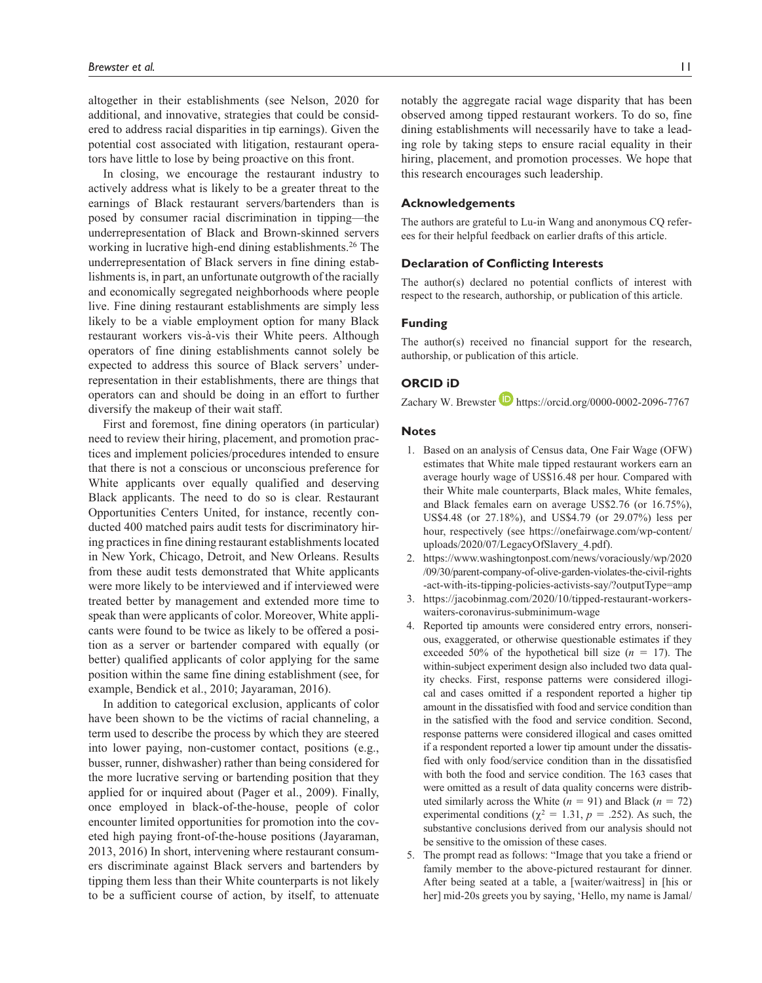altogether in their establishments (see Nelson, 2020 for additional, and innovative, strategies that could be considered to address racial disparities in tip earnings). Given the potential cost associated with litigation, restaurant operators have little to lose by being proactive on this front.

In closing, we encourage the restaurant industry to actively address what is likely to be a greater threat to the earnings of Black restaurant servers/bartenders than is posed by consumer racial discrimination in tipping—the underrepresentation of Black and Brown-skinned servers working in lucrative high-end dining establishments.<sup>26</sup> The underrepresentation of Black servers in fine dining establishments is, in part, an unfortunate outgrowth of the racially and economically segregated neighborhoods where people live. Fine dining restaurant establishments are simply less likely to be a viable employment option for many Black restaurant workers vis-à-vis their White peers. Although operators of fine dining establishments cannot solely be expected to address this source of Black servers' underrepresentation in their establishments, there are things that operators can and should be doing in an effort to further diversify the makeup of their wait staff.

First and foremost, fine dining operators (in particular) need to review their hiring, placement, and promotion practices and implement policies/procedures intended to ensure that there is not a conscious or unconscious preference for White applicants over equally qualified and deserving Black applicants. The need to do so is clear. Restaurant Opportunities Centers United, for instance, recently conducted 400 matched pairs audit tests for discriminatory hiring practices in fine dining restaurant establishments located in New York, Chicago, Detroit, and New Orleans. Results from these audit tests demonstrated that White applicants were more likely to be interviewed and if interviewed were treated better by management and extended more time to speak than were applicants of color. Moreover, White applicants were found to be twice as likely to be offered a position as a server or bartender compared with equally (or better) qualified applicants of color applying for the same position within the same fine dining establishment (see, for example, Bendick et al., 2010; Jayaraman, 2016).

In addition to categorical exclusion, applicants of color have been shown to be the victims of racial channeling, a term used to describe the process by which they are steered into lower paying, non-customer contact, positions (e.g., busser, runner, dishwasher) rather than being considered for the more lucrative serving or bartending position that they applied for or inquired about (Pager et al., 2009). Finally, once employed in black-of-the-house, people of color encounter limited opportunities for promotion into the coveted high paying front-of-the-house positions (Jayaraman, 2013, 2016) In short, intervening where restaurant consumers discriminate against Black servers and bartenders by tipping them less than their White counterparts is not likely to be a sufficient course of action, by itself, to attenuate

notably the aggregate racial wage disparity that has been observed among tipped restaurant workers. To do so, fine dining establishments will necessarily have to take a leading role by taking steps to ensure racial equality in their hiring, placement, and promotion processes. We hope that this research encourages such leadership.

# **Acknowledgements**

The authors are grateful to Lu-in Wang and anonymous CQ referees for their helpful feedback on earlier drafts of this article.

### **Declaration of Conflicting Interests**

The author(s) declared no potential conflicts of interest with respect to the research, authorship, or publication of this article.

### **Funding**

The author(s) received no financial support for the research, authorship, or publication of this article.

### **ORCID iD**

Zachary W. Brewster  $\blacksquare$  https://orcid.org/0000-0002-2096-7767

# **Notes**

- 1. Based on an analysis of Census data, One Fair Wage (OFW) estimates that White male tipped restaurant workers earn an average hourly wage of US\$16.48 per hour. Compared with their White male counterparts, Black males, White females, and Black females earn on average US\$2.76 (or 16.75%), US\$4.48 (or 27.18%), and US\$4.79 (or 29.07%) less per hour, respectively (see https://onefairwage.com/wp-content/ uploads/2020/07/LegacyOfSlavery\_4.pdf).
- 2. https://www.washingtonpost.com/news/voraciously/wp/2020 /09/30/parent-company-of-olive-garden-violates-the-civil-rights -act-with-its-tipping-policies-activists-say/?outputType=amp
- 3. https://jacobinmag.com/2020/10/tipped-restaurant-workerswaiters-coronavirus-subminimum-wage
- Reported tip amounts were considered entry errors, nonserious, exaggerated, or otherwise questionable estimates if they exceeded 50% of the hypothetical bill size  $(n = 17)$ . The within-subject experiment design also included two data quality checks. First, response patterns were considered illogical and cases omitted if a respondent reported a higher tip amount in the dissatisfied with food and service condition than in the satisfied with the food and service condition. Second, response patterns were considered illogical and cases omitted if a respondent reported a lower tip amount under the dissatisfied with only food/service condition than in the dissatisfied with both the food and service condition. The 163 cases that were omitted as a result of data quality concerns were distributed similarly across the White  $(n = 91)$  and Black  $(n = 72)$ experimental conditions ( $\chi^2 = 1.31$ ,  $p = .252$ ). As such, the substantive conclusions derived from our analysis should not be sensitive to the omission of these cases.
- 5. The prompt read as follows: "Image that you take a friend or family member to the above-pictured restaurant for dinner. After being seated at a table, a [waiter/waitress] in [his or her] mid-20s greets you by saying, 'Hello, my name is Jamal/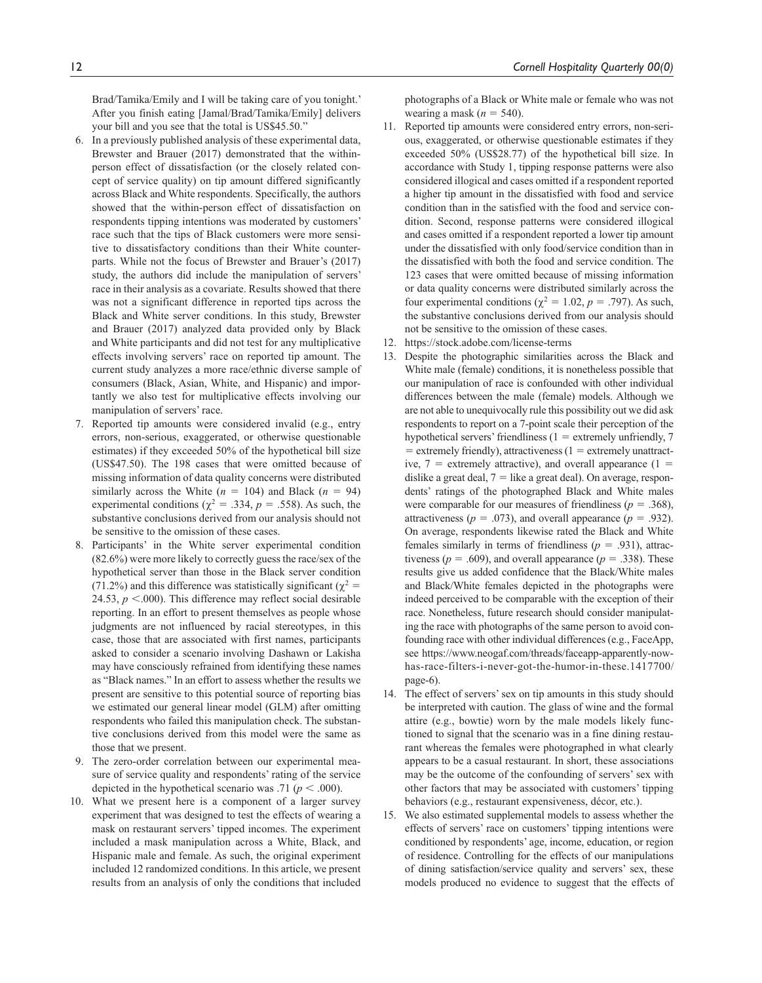Brad/Tamika/Emily and I will be taking care of you tonight.' After you finish eating [Jamal/Brad/Tamika/Emily] delivers your bill and you see that the total is US\$45.50."

- 6. In a previously published analysis of these experimental data, Brewster and Brauer (2017) demonstrated that the withinperson effect of dissatisfaction (or the closely related concept of service quality) on tip amount differed significantly across Black and White respondents. Specifically, the authors showed that the within-person effect of dissatisfaction on respondents tipping intentions was moderated by customers' race such that the tips of Black customers were more sensitive to dissatisfactory conditions than their White counterparts. While not the focus of Brewster and Brauer's (2017) study, the authors did include the manipulation of servers' race in their analysis as a covariate. Results showed that there was not a significant difference in reported tips across the Black and White server conditions. In this study, Brewster and Brauer (2017) analyzed data provided only by Black and White participants and did not test for any multiplicative effects involving servers' race on reported tip amount. The current study analyzes a more race/ethnic diverse sample of consumers (Black, Asian, White, and Hispanic) and importantly we also test for multiplicative effects involving our manipulation of servers' race.
- 7. Reported tip amounts were considered invalid (e.g., entry errors, non-serious, exaggerated, or otherwise questionable estimates) if they exceeded 50% of the hypothetical bill size (US\$47.50). The 198 cases that were omitted because of missing information of data quality concerns were distributed similarly across the White  $(n = 104)$  and Black  $(n = 94)$ experimental conditions ( $\chi^2 = .334$ ,  $p = .558$ ). As such, the substantive conclusions derived from our analysis should not be sensitive to the omission of these cases.
- 8. Participants' in the White server experimental condition (82.6%) were more likely to correctly guess the race/sex of the hypothetical server than those in the Black server condition (71.2%) and this difference was statistically significant ( $\chi^2$  = 24.53,  $p < .000$ ). This difference may reflect social desirable reporting. In an effort to present themselves as people whose judgments are not influenced by racial stereotypes, in this case, those that are associated with first names, participants asked to consider a scenario involving Dashawn or Lakisha may have consciously refrained from identifying these names as "Black names." In an effort to assess whether the results we present are sensitive to this potential source of reporting bias we estimated our general linear model (GLM) after omitting respondents who failed this manipulation check. The substantive conclusions derived from this model were the same as those that we present.
- 9. The zero-order correlation between our experimental measure of service quality and respondents' rating of the service depicted in the hypothetical scenario was .71 ( $p < .000$ ).
- 10. What we present here is a component of a larger survey experiment that was designed to test the effects of wearing a mask on restaurant servers' tipped incomes. The experiment included a mask manipulation across a White, Black, and Hispanic male and female. As such, the original experiment included 12 randomized conditions. In this article, we present results from an analysis of only the conditions that included

12 *Cornell Hospitality Quarterly 00(0)*

photographs of a Black or White male or female who was not wearing a mask  $(n = 540)$ .

- 11. Reported tip amounts were considered entry errors, non-serious, exaggerated, or otherwise questionable estimates if they exceeded 50% (US\$28.77) of the hypothetical bill size. In accordance with Study 1, tipping response patterns were also considered illogical and cases omitted if a respondent reported a higher tip amount in the dissatisfied with food and service condition than in the satisfied with the food and service condition. Second, response patterns were considered illogical and cases omitted if a respondent reported a lower tip amount under the dissatisfied with only food/service condition than in the dissatisfied with both the food and service condition. The 123 cases that were omitted because of missing information or data quality concerns were distributed similarly across the four experimental conditions ( $\chi^2 = 1.02$ , *p* = .797). As such, the substantive conclusions derived from our analysis should not be sensitive to the omission of these cases.
- 12. https://stock.adobe.com/license-terms
- 13. Despite the photographic similarities across the Black and White male (female) conditions, it is nonetheless possible that our manipulation of race is confounded with other individual differences between the male (female) models. Although we are not able to unequivocally rule this possibility out we did ask respondents to report on a 7-point scale their perception of the hypothetical servers' friendliness (1 = extremely unfriendly, 7  $=$  extremely friendly), attractiveness ( $1 =$  extremely unattractive,  $7 =$  extremely attractive), and overall appearance  $(1 =$ dislike a great deal,  $7 =$  like a great deal). On average, respondents' ratings of the photographed Black and White males were comparable for our measures of friendliness ( $p = .368$ ), attractiveness ( $p = .073$ ), and overall appearance ( $p = .932$ ). On average, respondents likewise rated the Black and White females similarly in terms of friendliness ( $p = .931$ ), attractiveness ( $p = .609$ ), and overall appearance ( $p = .338$ ). These results give us added confidence that the Black/White males and Black/White females depicted in the photographs were indeed perceived to be comparable with the exception of their race. Nonetheless, future research should consider manipulating the race with photographs of the same person to avoid confounding race with other individual differences (e.g., FaceApp, see https://www.neogaf.com/threads/faceapp-apparently-nowhas-race-filters-i-never-got-the-humor-in-these.1417700/ page-6).
- 14. The effect of servers' sex on tip amounts in this study should be interpreted with caution. The glass of wine and the formal attire (e.g., bowtie) worn by the male models likely functioned to signal that the scenario was in a fine dining restaurant whereas the females were photographed in what clearly appears to be a casual restaurant. In short, these associations may be the outcome of the confounding of servers' sex with other factors that may be associated with customers' tipping behaviors (e.g., restaurant expensiveness, décor, etc.).
- We also estimated supplemental models to assess whether the effects of servers' race on customers' tipping intentions were conditioned by respondents' age, income, education, or region of residence. Controlling for the effects of our manipulations of dining satisfaction/service quality and servers' sex, these models produced no evidence to suggest that the effects of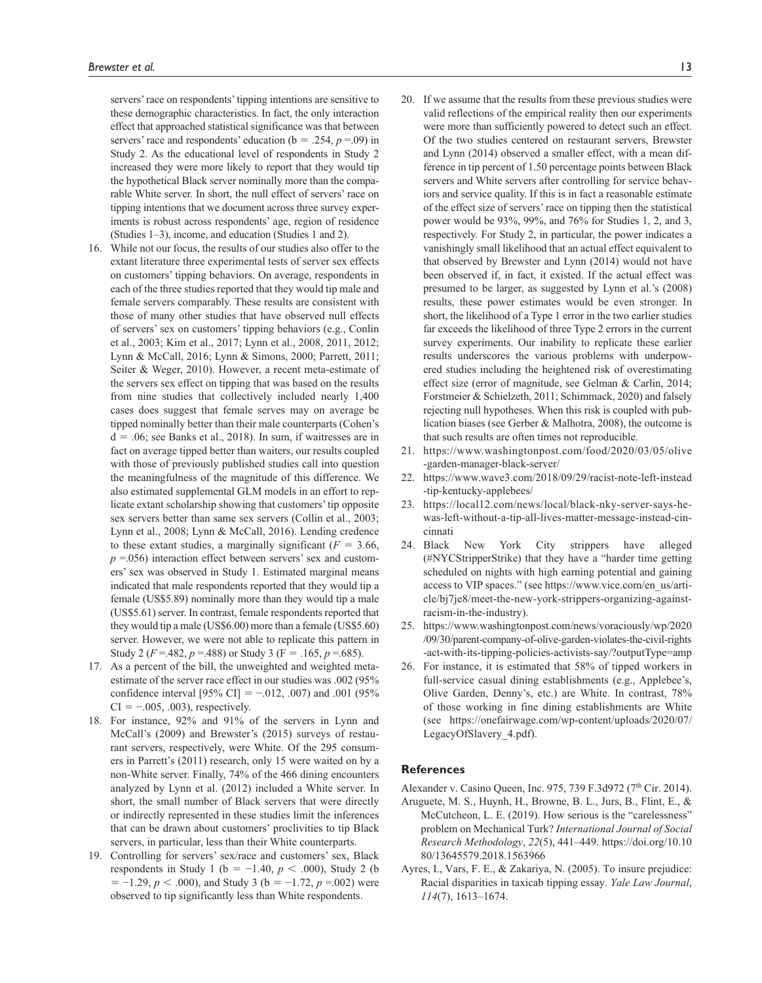servers' race on respondents' tipping intentions are sensitive to these demographic characteristics. In fact, the only interaction effect that approached statistical significance was that between servers' race and respondents' education ( $b = .254$ ,  $p = .09$ ) in Study 2. As the educational level of respondents in Study 2 increased they were more likely to report that they would tip the hypothetical Black server nominally more than the comparable White server. In short, the null effect of servers' race on tipping intentions that we document across three survey experiments is robust across respondents' age, region of residence (Studies 1–3), income, and education (Studies 1 and 2).

- 16. While not our focus, the results of our studies also offer to the extant literature three experimental tests of server sex effects on customers' tipping behaviors. On average, respondents in each of the three studies reported that they would tip male and female servers comparably. These results are consistent with those of many other studies that have observed null effects of servers' sex on customers' tipping behaviors (e.g., Conlin et al., 2003; Kim et al., 2017; Lynn et al., 2008, 2011, 2012; Lynn & McCall, 2016; Lynn & Simons, 2000; Parrett, 2011; Seiter & Weger, 2010). However, a recent meta-estimate of the servers sex effect on tipping that was based on the results from nine studies that collectively included nearly 1,400 cases does suggest that female serves may on average be tipped nominally better than their male counterparts (Cohen's  $d = .06$ ; see Banks et al., 2018). In sum, if waitresses are in fact on average tipped better than waiters, our results coupled with those of previously published studies call into question the meaningfulness of the magnitude of this difference. We also estimated supplemental GLM models in an effort to replicate extant scholarship showing that customers' tip opposite sex servers better than same sex servers (Collin et al., 2003; Lynn et al., 2008; Lynn & McCall, 2016). Lending credence to these extant studies, a marginally significant  $(F = 3.66,$  $p = 0.056$ ) interaction effect between servers' sex and customers' sex was observed in Study 1. Estimated marginal means indicated that male respondents reported that they would tip a female (US\$5.89) nominally more than they would tip a male (US\$5.61) server. In contrast, female respondents reported that they would tip a male (US\$6.00) more than a female (US\$5.60) server. However, we were not able to replicate this pattern in Study 2 ( $F = .482$ ,  $p = .488$ ) or Study 3 ( $F = .165$ ,  $p = .685$ ).
- 17. As a percent of the bill, the unweighted and weighted metaestimate of the server race effect in our studies was .002 (95% confidence interval [95% CI] =  $-.012, .007$ ) and .001 (95%  $CI = -.005, .003$ , respectively.
- 18. For instance, 92% and 91% of the servers in Lynn and McCall's (2009) and Brewster's (2015) surveys of restaurant servers, respectively, were White. Of the 295 consumers in Parrett's (2011) research, only 15 were waited on by a non-White server. Finally, 74% of the 466 dining encounters analyzed by Lynn et al. (2012) included a White server. In short, the small number of Black servers that were directly or indirectly represented in these studies limit the inferences that can be drawn about customers' proclivities to tip Black servers, in particular, less than their White counterparts.
- 19. Controlling for servers' sex/race and customers' sex, Black respondents in Study 1 (b = −1.40, *p* < .000), Study 2 (b  $= -1.29, p < .000$ , and Study 3 (b =  $-1.72, p = .002$ ) were observed to tip significantly less than White respondents.
- 20. If we assume that the results from these previous studies were valid reflections of the empirical reality then our experiments were more than sufficiently powered to detect such an effect. Of the two studies centered on restaurant servers, Brewster and Lynn (2014) observed a smaller effect, with a mean difference in tip percent of 1.50 percentage points between Black servers and White servers after controlling for service behaviors and service quality. If this is in fact a reasonable estimate of the effect size of servers' race on tipping then the statistical power would be 93%, 99%, and 76% for Studies 1, 2, and 3, respectively. For Study 2, in particular, the power indicates a vanishingly small likelihood that an actual effect equivalent to that observed by Brewster and Lynn (2014) would not have been observed if, in fact, it existed. If the actual effect was presumed to be larger, as suggested by Lynn et al.'s (2008) results, these power estimates would be even stronger. In short, the likelihood of a Type 1 error in the two earlier studies far exceeds the likelihood of three Type 2 errors in the current survey experiments. Our inability to replicate these earlier results underscores the various problems with underpowered studies including the heightened risk of overestimating effect size (error of magnitude, see Gelman & Carlin, 2014; Forstmeier & Schielzeth, 2011; Schimmack, 2020) and falsely rejecting null hypotheses. When this risk is coupled with publication biases (see Gerber & Malhotra, 2008), the outcome is that such results are often times not reproducible.
- 21. https://www.washingtonpost.com/food/2020/03/05/olive -garden-manager-black-server/
- 22. https://www.wave3.com/2018/09/29/racist-note-left-instead -tip-kentucky-applebees/
- 23. https://local12.com/news/local/black-nky-server-says-hewas-left-without-a-tip-all-lives-matter-message-instead-cincinnati
- 24. Black New York City strippers have alleged (#NYCStripperStrike) that they have a "harder time getting scheduled on nights with high earning potential and gaining access to VIP spaces." (see https://www.vice.com/en\_us/article/bj7je8/meet-the-new-york-strippers-organizing-againstracism-in-the-industry).
- 25. https://www.washingtonpost.com/news/voraciously/wp/2020 /09/30/parent-company-of-olive-garden-violates-the-civil-rights -act-with-its-tipping-policies-activists-say/?outputType=amp
- 26. For instance, it is estimated that 58% of tipped workers in full-service casual dining establishments (e.g., Applebee's, Olive Garden, Denny's, etc.) are White. In contrast, 78% of those working in fine dining establishments are White (see https://onefairwage.com/wp-content/uploads/2020/07/ LegacyOfSlavery\_4.pdf).

#### **References**

Alexander v. Casino Queen, Inc. 975, 739 F.3d972 (7<sup>th</sup> Cir. 2014).

- Aruguete, M. S., Huynh, H., Browne, B. L., Jurs, B., Flint, E., & McCutcheon, L. E. (2019). How serious is the "carelessness" problem on Mechanical Turk? *International Journal of Social Research Methodology*, *22*(5), 441–449. https://doi.org/10.10 80/13645579.2018.1563966
- Ayres, I., Vars, F. E., & Zakariya, N. (2005). To insure prejudice: Racial disparities in taxicab tipping essay. *Yale Law Journal*, *114*(7), 1613–1674.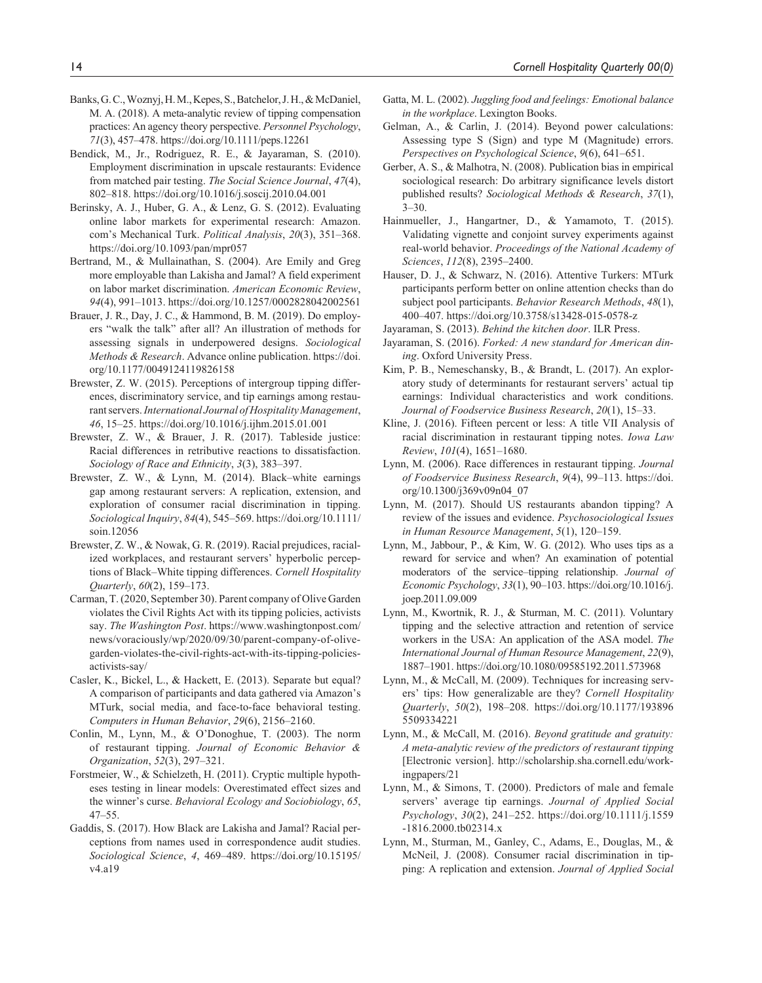- Banks, G. C., Woznyj, H. M., Kepes, S., Batchelor, J. H., & McDaniel, M. A. (2018). A meta-analytic review of tipping compensation practices: An agency theory perspective. *Personnel Psychology*, *71*(3), 457–478. https://doi.org/10.1111/peps.12261
- Bendick, M., Jr., Rodriguez, R. E., & Jayaraman, S. (2010). Employment discrimination in upscale restaurants: Evidence from matched pair testing. *The Social Science Journal*, *47*(4), 802–818. https://doi.org/10.1016/j.soscij.2010.04.001
- Berinsky, A. J., Huber, G. A., & Lenz, G. S. (2012). Evaluating online labor markets for experimental research: Amazon. com's Mechanical Turk. *Political Analysis*, *20*(3), 351–368. https://doi.org/10.1093/pan/mpr057
- Bertrand, M., & Mullainathan, S. (2004). Are Emily and Greg more employable than Lakisha and Jamal? A field experiment on labor market discrimination. *American Economic Review*, *94*(4), 991–1013. https://doi.org/10.1257/0002828042002561
- Brauer, J. R., Day, J. C., & Hammond, B. M. (2019). Do employers "walk the talk" after all? An illustration of methods for assessing signals in underpowered designs. *Sociological Methods & Research*. Advance online publication. https://doi. org/10.1177/0049124119826158
- Brewster, Z. W. (2015). Perceptions of intergroup tipping differences, discriminatory service, and tip earnings among restaurant servers. *International Journal of Hospitality Management*, *46*, 15–25. https://doi.org/10.1016/j.ijhm.2015.01.001
- Brewster, Z. W., & Brauer, J. R. (2017). Tableside justice: Racial differences in retributive reactions to dissatisfaction. *Sociology of Race and Ethnicity*, *3*(3), 383–397.
- Brewster, Z. W., & Lynn, M. (2014). Black–white earnings gap among restaurant servers: A replication, extension, and exploration of consumer racial discrimination in tipping. *Sociological Inquiry*, *84*(4), 545–569. https://doi.org/10.1111/ soin.12056
- Brewster, Z. W., & Nowak, G. R. (2019). Racial prejudices, racialized workplaces, and restaurant servers' hyperbolic perceptions of Black–White tipping differences. *Cornell Hospitality Quarterly*, *60*(2), 159–173.
- Carman, T. (2020, September 30). Parent company of Olive Garden violates the Civil Rights Act with its tipping policies, activists say. *The Washington Post*. https://www.washingtonpost.com/ news/voraciously/wp/2020/09/30/parent-company-of-olivegarden-violates-the-civil-rights-act-with-its-tipping-policiesactivists-say/
- Casler, K., Bickel, L., & Hackett, E. (2013). Separate but equal? A comparison of participants and data gathered via Amazon's MTurk, social media, and face-to-face behavioral testing. *Computers in Human Behavior*, *29*(6), 2156–2160.
- Conlin, M., Lynn, M., & O'Donoghue, T. (2003). The norm of restaurant tipping. *Journal of Economic Behavior & Organization*, *52*(3), 297–321.
- Forstmeier, W., & Schielzeth, H. (2011). Cryptic multiple hypotheses testing in linear models: Overestimated effect sizes and the winner's curse. *Behavioral Ecology and Sociobiology*, *65*, 47–55.
- Gaddis, S. (2017). How Black are Lakisha and Jamal? Racial perceptions from names used in correspondence audit studies. *Sociological Science*, *4*, 469–489. https://doi.org/10.15195/ v4.a19
- Gatta, M. L. (2002). *Juggling food and feelings: Emotional balance in the workplace*. Lexington Books.
- Gelman, A., & Carlin, J. (2014). Beyond power calculations: Assessing type S (Sign) and type M (Magnitude) errors. *Perspectives on Psychological Science*, *9*(6), 641–651.
- Gerber, A. S., & Malhotra, N. (2008). Publication bias in empirical sociological research: Do arbitrary significance levels distort published results? *Sociological Methods & Research*, *37*(1),  $3 - 30.$
- Hainmueller, J., Hangartner, D., & Yamamoto, T. (2015). Validating vignette and conjoint survey experiments against real-world behavior. *Proceedings of the National Academy of Sciences*, *112*(8), 2395–2400.
- Hauser, D. J., & Schwarz, N. (2016). Attentive Turkers: MTurk participants perform better on online attention checks than do subject pool participants. *Behavior Research Methods*, *48*(1), 400–407. https://doi.org/10.3758/s13428-015-0578-z
- Jayaraman, S. (2013). *Behind the kitchen door*. ILR Press.
- Jayaraman, S. (2016). *Forked: A new standard for American dining*. Oxford University Press.
- Kim, P. B., Nemeschansky, B., & Brandt, L. (2017). An exploratory study of determinants for restaurant servers' actual tip earnings: Individual characteristics and work conditions. *Journal of Foodservice Business Research*, *20*(1), 15–33.
- Kline, J. (2016). Fifteen percent or less: A title VII Analysis of racial discrimination in restaurant tipping notes. *Iowa Law Review*, *101*(4), 1651–1680.
- Lynn, M. (2006). Race differences in restaurant tipping. *Journal of Foodservice Business Research*, *9*(4), 99–113. https://doi. org/10.1300/j369v09n04\_07
- Lynn, M. (2017). Should US restaurants abandon tipping? A review of the issues and evidence. *Psychosociological Issues in Human Resource Management*, *5*(1), 120–159.
- Lynn, M., Jabbour, P., & Kim, W. G. (2012). Who uses tips as a reward for service and when? An examination of potential moderators of the service–tipping relationship. *Journal of Economic Psychology*, *33*(1), 90–103. https://doi.org/10.1016/j. joep.2011.09.009
- Lynn, M., Kwortnik, R. J., & Sturman, M. C. (2011). Voluntary tipping and the selective attraction and retention of service workers in the USA: An application of the ASA model. *The International Journal of Human Resource Management*, *22*(9), 1887–1901. https://doi.org/10.1080/09585192.2011.573968
- Lynn, M., & McCall, M. (2009). Techniques for increasing servers' tips: How generalizable are they? *Cornell Hospitality Quarterly*, *50*(2), 198–208. https://doi.org/10.1177/193896 5509334221
- Lynn, M., & McCall, M. (2016). *Beyond gratitude and gratuity: A meta-analytic review of the predictors of restaurant tipping* [Electronic version]. http://scholarship.sha.cornell.edu/workingpapers/21
- Lynn, M., & Simons, T. (2000). Predictors of male and female servers' average tip earnings. *Journal of Applied Social Psychology*, *30*(2), 241–252. https://doi.org/10.1111/j.1559 -1816.2000.tb02314.x
- Lynn, M., Sturman, M., Ganley, C., Adams, E., Douglas, M., & McNeil, J. (2008). Consumer racial discrimination in tipping: A replication and extension. *Journal of Applied Social*